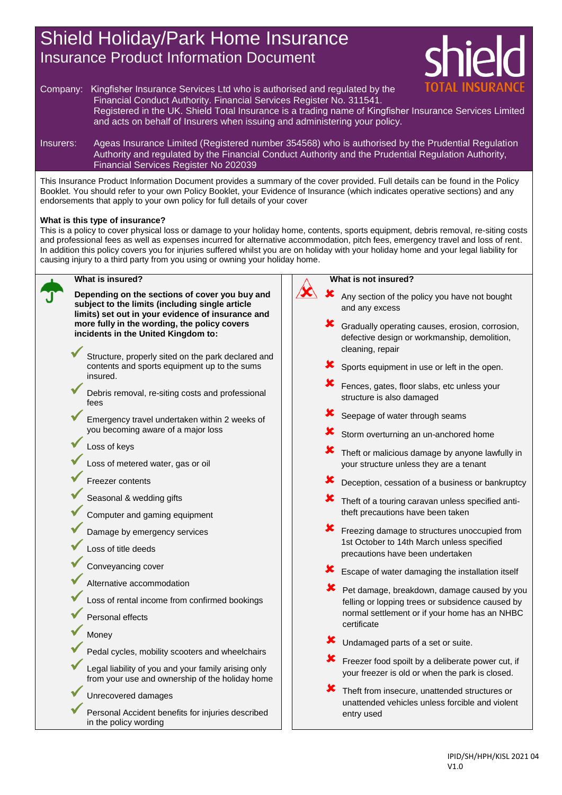## Shield Holiday/Park Home Insurance Insurance Product Information Document



- Company: Kingfisher Insurance Services Ltd who is authorised and regulated by the Financial Conduct Authority. Financial Services Register No. 311541. Registered in the UK. Shield Total Insurance is a trading name of Kingfisher Insurance Services Limited and acts on behalf of Insurers when issuing and administering your policy.
- Insurers: Ageas Insurance Limited (Registered number 354568) who is authorised by the Prudential Regulation Authority and regulated by the Financial Conduct Authority and the Prudential Regulation Authority, Financial Services Register No 202039

This Insurance Product Information Document provides a summary of the cover provided. Full details can be found in the Policy Booklet. You should refer to your own Policy Booklet, your Evidence of Insurance (which indicates operative sections) and any endorsements that apply to your own policy for full details of your cover

## **What is this type of insurance?**

This is a policy to cover physical loss or damage to your holiday home, contents, sports equipment, debris removal, re-siting costs and professional fees as well as expenses incurred for alternative accommodation, pitch fees, emergency travel and loss of rent. In addition this policy covers you for injuries suffered whilst you are on holiday with your holiday home and your legal liability for causing injury to a third party from you using or owning your holiday home.

 $\lambda$ 



## **What is insured?**

**Depending on the sections of cover you buy and subject to the limits (including single article limits) set out in your evidence of insurance and more fully in the wording, the policy covers incidents in the United Kingdom to:**

- Structure, properly sited on the park declared and contents and sports equipment up to the sums insured.
- Debris removal, re-siting costs and professional fees
- Emergency travel undertaken within 2 weeks of you becoming aware of a major loss
- Loss of keys
- Loss of metered water, gas or oil
- Freezer contents
- Seasonal & wedding gifts
- Computer and gaming equipment
- Damage by emergency services
- Loss of title deeds
- Conveyancing cover
- Alternative accommodation
- Loss of rental income from confirmed bookings
- Personal effects
- **Money**
- Pedal cycles, mobility scooters and wheelchairs
- Legal liability of you and your family arising only from your use and ownership of the holiday home
- Unrecovered damages
- Personal Accident benefits for injuries described in the policy wording

## **What is not insured?**

- Any section of the policy you have not bought and any excess
- Gradually operating causes, erosion, corrosion, defective design or workmanship, demolition, cleaning, repair
- Sports equipment in use or left in the open.
- Fences, gates, floor slabs, etc unless your structure is also damaged
- Seepage of water through seams
- Storm overturning an un-anchored home
- Theft or malicious damage by anyone lawfully in your structure unless they are a tenant
- Deception, cessation of a business or bankruptcy
- Theft of a touring caravan unless specified antitheft precautions have been taken
- Freezing damage to structures unoccupied from 1st October to 14th March unless specified precautions have been undertaken
- Escape of water damaging the installation itself
- Pet damage, breakdown, damage caused by you felling or lopping trees or subsidence caused by normal settlement or if your home has an NHBC certificate
- Undamaged parts of a set or suite.
- Freezer food spoilt by a deliberate power cut, if your freezer is old or when the park is closed.
- Theft from insecure, unattended structures or unattended vehicles unless forcible and violent entry used